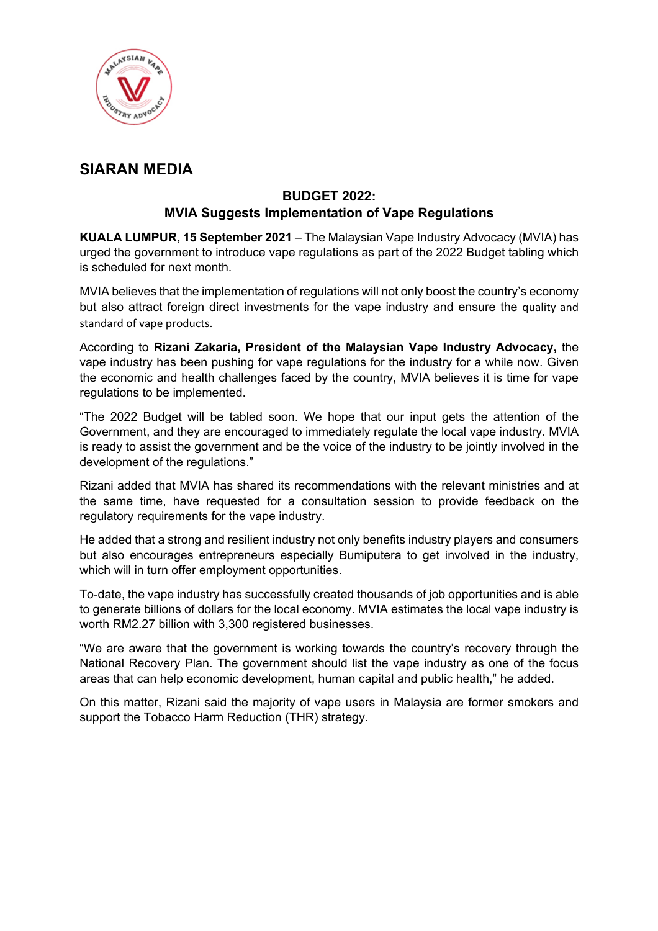

## **SIARAN MEDIA**

## **BUDGET 2022: MVIA Suggests Implementation of Vape Regulations**

**KUALA LUMPUR, 15 September 2021** – The Malaysian Vape Industry Advocacy (MVIA) has urged the government to introduce vape regulations as part of the 2022 Budget tabling which is scheduled for next month.

MVIA believes that the implementation of regulations will not only boost the country's economy but also attract foreign direct investments for the vape industry and ensure the quality and standard of vape products.

According to **Rizani Zakaria, President of the Malaysian Vape Industry Advocacy,** the vape industry has been pushing for vape regulations for the industry for a while now. Given the economic and health challenges faced by the country, MVIA believes it is time for vape regulations to be implemented.

"The 2022 Budget will be tabled soon. We hope that our input gets the attention of the Government, and they are encouraged to immediately regulate the local vape industry. MVIA is ready to assist the government and be the voice of the industry to be jointly involved in the development of the regulations."

Rizani added that MVIA has shared its recommendations with the relevant ministries and at the same time, have requested for a consultation session to provide feedback on the regulatory requirements for the vape industry.

He added that a strong and resilient industry not only benefits industry players and consumers but also encourages entrepreneurs especially Bumiputera to get involved in the industry, which will in turn offer employment opportunities.

To-date, the vape industry has successfully created thousands of job opportunities and is able to generate billions of dollars for the local economy. MVIA estimates the local vape industry is worth RM2.27 billion with 3,300 registered businesses.

"We are aware that the government is working towards the country's recovery through the National Recovery Plan. The government should list the vape industry as one of the focus areas that can help economic development, human capital and public health," he added.

On this matter, Rizani said the majority of vape users in Malaysia are former smokers and support the Tobacco Harm Reduction (THR) strategy.